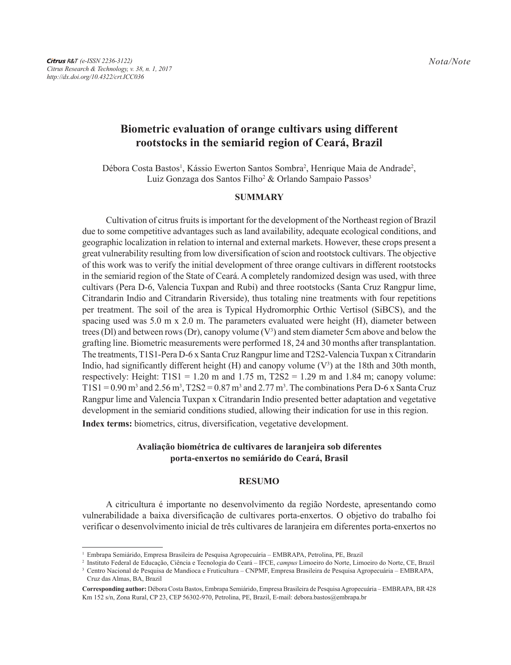# **Biometric evaluation of orange cultivars using different rootstocks in the semiarid region of Ceará, Brazil**

Débora Costa Bastos<sup>1</sup>, Kássio Ewerton Santos Sombra<sup>2</sup>, Henrique Maia de Andrade<sup>2</sup>, Luiz Gonzaga dos Santos Filho<sup>2</sup> & Orlando Sampaio Passos<sup>3</sup>

#### **SUMMARY**

Cultivation of citrus fruits is important for the development of the Northeast region of Brazil due to some competitive advantages such as land availability, adequate ecological conditions, and geographic localization in relation to internal and external markets. However, these crops present a great vulnerability resulting from low diversification of scion and rootstock cultivars. The objective of this work was to verify the initial development of three orange cultivars in different rootstocks in the semiarid region of the State of Ceará. A completely randomized design was used, with three cultivars (Pera D-6, Valencia Tuxpan and Rubi) and three rootstocks (Santa Cruz Rangpur lime, Citrandarin Indio and Citrandarin Riverside), thus totaling nine treatments with four repetitions per treatment. The soil of the area is Typical Hydromorphic Orthic Vertisol (SiBCS), and the spacing used was 5.0 m x 2.0 m. The parameters evaluated were height (H), diameter between trees (DI) and between rows (Dr), canopy volume  $(V^3)$  and stem diameter 5cm above and below the grafting line. Biometric measurements were performed 18, 24 and 30 months after transplantation. The treatments, T1S1-Pera D-6 x Santa Cruz Rangpur lime and T2S2-Valencia Tuxpan x Citrandarin Indio, had significantly different height  $(H)$  and canopy volume  $(V^3)$  at the 18th and 30th month, respectively: Height:  $T1S1 = 1.20$  m and  $1.75$  m,  $T2S2 = 1.29$  m and  $1.84$  m; canopy volume: T1S1 = 0.90 m<sup>3</sup> and 2.56 m<sup>3</sup>, T2S2 = 0.87 m<sup>3</sup> and 2.77 m<sup>3</sup>. The combinations Pera D-6 x Santa Cruz Rangpur lime and Valencia Tuxpan x Citrandarin Indio presented better adaptation and vegetative development in the semiarid conditions studied, allowing their indication for use in this region.

**Index terms:** biometrics, citrus, diversification, vegetative development.

## **Avaliação biométrica de cultivares de laranjeira sob diferentes porta-enxertos no semiárido do Ceará, Brasil**

### **RESUMO**

A citricultura é importante no desenvolvimento da região Nordeste, apresentando como vulnerabilidade a baixa diversificação de cultivares porta-enxertos. O objetivo do trabalho foi verificar o desenvolvimento inicial de três cultivares de laranjeira em diferentes porta-enxertos no

<sup>1</sup> Embrapa Semiárido, Empresa Brasileira de Pesquisa Agropecuária – EMBRAPA, Petrolina, PE, Brazil

<sup>2</sup> Instituto Federal de Educação, Ciência e Tecnologia do Ceará – IFCE, *campus* Limoeiro do Norte, Limoeiro do Norte, CE, Brazil <sup>3</sup> Centro Nacional de Pesquisa de Mandioca e Fruticultura – CNPMF, Empresa Brasileira de Pesquisa Agropecuária – EMBRAPA, Cruz das Almas, BA, Brazil

**Corresponding author:** Débora Costa Bastos, Embrapa Semiárido, Empresa Brasileira de Pesquisa Agropecuária – EMBRAPA, BR428 Km 152 s/n, Zona Rural, CP 23, CEP 56302-970, Petrolina, PE, Brazil, E-mail: debora.bastos@embrapa.br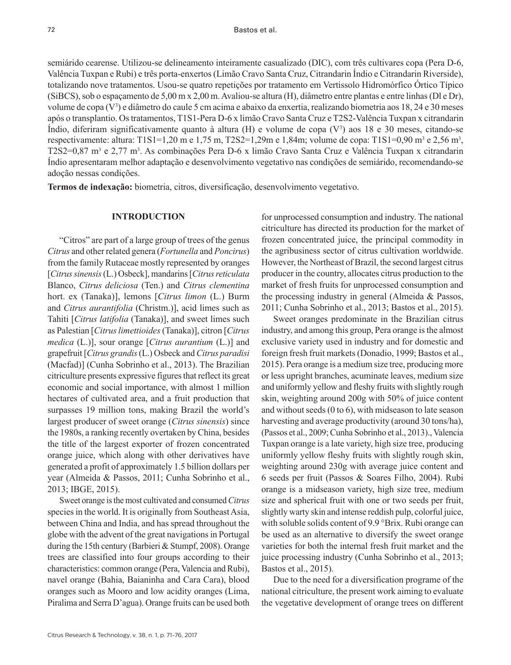semiárido cearense. Utilizou-se delineamento inteiramente casualizado (DIC), com três cultivares copa (Pera D-6, Valência Tuxpan e Rubi) e três porta-enxertos (Limão Cravo Santa Cruz, Citrandarin Índio e Citrandarin Riverside), totalizando nove tratamentos. Usou-se quatro repetições por tratamento em Vertissolo Hidromórfico Órtico Típico (SiBCS), sob o espaçamento de 5,00 m x 2,00 m. Avaliou-se altura (H), diâmetro entre plantas e entre linhas (Dl e Dr), volume de copa (V3 ) e diâmetro do caule 5 cm acima e abaixo da enxertia, realizando biometria aos 18, 24 e 30 meses após o transplantio. Os tratamentos, T1S1-Pera D-6 x limão Cravo Santa Cruz e T2S2-Valência Tuxpan x citrandarin Índio, diferiram significativamente quanto à altura (H) e volume de copa (V3 ) aos 18 e 30 meses, citando-se respectivamente: altura: T1S1=1,20 m e 1,75 m, T2S2=1,29m e 1,84m; volume de copa: T1S1=0,90 m<sup>3</sup> e 2,56 m<sup>3</sup>, T2S2=0,87 m<sup>3</sup> e 2,77 m<sup>3</sup>. As combinações Pera D-6 x limão Cravo Santa Cruz e Valência Tuxpan x citrandarin Índio apresentaram melhor adaptação e desenvolvimento vegetativo nas condições de semiárido, recomendando-se adoção nessas condições.

**Termos de indexação:** biometria, citros, diversificação, desenvolvimento vegetativo.

# **INTRODUCTION**

"Citros" are part of a large group of trees of the genus *Citrus* and other related genera (*Fortunella* and *Poncirus*) from the family Rutaceae mostly represented by oranges [*Citrus sinensis* (L.) Osbeck], mandarins [*Citrus reticulata* Blanco, *Citrus deliciosa* (Ten.) and *Citrus clementina* hort. ex (Tanaka)], lemons [*Citrus limon* (L.) Burm and *Citrus aurantifolia* (Christm.)], acid limes such as Tahiti [*Citrus latifolia* (Tanaka)], and sweet limes such as Palestian [*Citrus limettioides* (Tanaka)], citron [*Citrus medica* (L.)], sour orange [*Citrus aurantium* (L.)] and grapefruit [*Citrus grandis* (L.) Osbeck and *Citrus paradisi* (Macfad)] (Cunha Sobrinho et al., 2013). The Brazilian citriculture presents expressive figures that reflect its great economic and social importance, with almost 1 million hectares of cultivated area, and a fruit production that surpasses 19 million tons, making Brazil the world's largest producer of sweet orange (*Citrus sinensis*) since the 1980s, a ranking recently overtaken by China, besides the title of the largest exporter of frozen concentrated orange juice, which along with other derivatives have generated a profit of approximately 1.5 billion dollars per year (Almeida & Passos, 2011; Cunha Sobrinho et al., 2013; IBGE, 2015).

Sweet orange is the most cultivated and consumed *Citrus* species in the world. It is originally from Southeast Asia, between China and India, and has spread throughout the globe with the advent of the great navigations in Portugal during the 15th century (Barbieri & Stumpf, 2008). Orange trees are classified into four groups according to their characteristics: common orange (Pera, Valencia and Rubi), navel orange (Bahia, Baianinha and Cara Cara), blood oranges such as Mooro and low acidity oranges (Lima, Piralima and Serra D'agua). Orange fruits can be used both

for unprocessed consumption and industry. The national citriculture has directed its production for the market of frozen concentrated juice, the principal commodity in the agribusiness sector of citrus cultivation worldwide. However, the Northeast of Brazil, the second largest citrus producer in the country, allocates citrus production to the market of fresh fruits for unprocessed consumption and the processing industry in general (Almeida & Passos, 2011; Cunha Sobrinho et al., 2013; Bastos et al., 2015).

Sweet oranges predominate in the Brazilian citrus industry, and among this group, Pera orange is the almost exclusive variety used in industry and for domestic and foreign fresh fruit markets (Donadio, 1999; Bastos et al., 2015). Pera orange is a medium size tree, producing more or less upright branches, acuminate leaves, medium size and uniformly yellow and fleshy fruits with slightly rough skin, weighting around 200g with 50% of juice content and without seeds (0 to 6), with midseason to late season harvesting and average productivity (around 30 tons/ha), (Passos et al., 2009; Cunha Sobrinho et al., 2013)., Valencia Tuxpan orange is a late variety, high size tree, producing uniformly yellow fleshy fruits with slightly rough skin, weighting around 230g with average juice content and 6 seeds per fruit (Passos & Soares Filho, 2004). Rubi orange is a midseason variety, high size tree, medium size and spherical fruit with one or two seeds per fruit, slightly warty skin and intense reddish pulp, colorful juice, with soluble solids content of 9.9 °Brix. Rubi orange can be used as an alternative to diversify the sweet orange varieties for both the internal fresh fruit market and the juice processing industry (Cunha Sobrinho et al., 2013; Bastos et al., 2015).

Due to the need for a diversification programe of the national citriculture, the present work aiming to evaluate the vegetative development of orange trees on different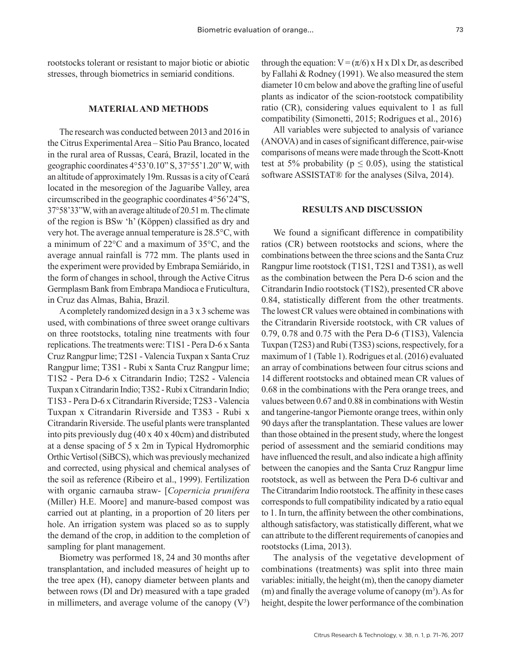rootstocks tolerant or resistant to major biotic or abiotic stresses, through biometrics in semiarid conditions.

#### **MATERIAL AND METHODS**

The research was conducted between 2013 and 2016 in the Citrus Experimental Area – Sítio Pau Branco, located in the rural area of Russas, Ceará, Brazil, located in the geographic coordinates 4°53'0.10" S, 37°55'1.20" W, with an altitude of approximately 19m. Russas is a city of Ceará located in the mesoregion of the Jaguaribe Valley, area circumscribed in the geographic coordinates 4°56'24"S, 37°58'33"W, with an average altitude of 20.51 m. The climate of the region is BSw 'h' (Köppen) classified as dry and very hot. The average annual temperature is 28.5°C, with a minimum of 22°C and a maximum of 35°C, and the average annual rainfall is 772 mm. The plants used in the experiment were provided by Embrapa Semiárido, in the form of changes in school, through the Active Citrus Germplasm Bank from Embrapa Mandioca e Fruticultura, in Cruz das Almas, Bahia, Brazil.

A completely randomized design in a 3 x 3 scheme was used, with combinations of three sweet orange cultivars on three rootstocks, totaling nine treatments with four replications. The treatments were: T1S1 - Pera D-6 x Santa Cruz Rangpur lime; T2S1 - Valencia Tuxpan x Santa Cruz Rangpur lime; T3S1 - Rubi x Santa Cruz Rangpur lime; T1S2 - Pera D-6 x Citrandarin Indio; T2S2 - Valencia Tuxpan x Citrandarin Indio; T3S2 - Rubi x Citrandarin Indio; T1S3 - Pera D-6 x Citrandarin Riverside; T2S3 - Valencia Tuxpan x Citrandarin Riverside and T3S3 - Rubi x Citrandarin Riverside. The useful plants were transplanted into pits previously dug  $(40 \times 40 \times 40 \text{cm})$  and distributed at a dense spacing of 5 x 2m in Typical Hydromorphic Orthic Vertisol (SiBCS), which was previously mechanized and corrected, using physical and chemical analyses of the soil as reference (Ribeiro et al., 1999). Fertilization with organic carnauba straw- [*Copernicia prunifera* (Miller) H.E. Moore] and manure-based compost was carried out at planting, in a proportion of 20 liters per hole. An irrigation system was placed so as to supply the demand of the crop, in addition to the completion of sampling for plant management.

Biometry was performed 18, 24 and 30 months after transplantation, and included measures of height up to the tree apex (H), canopy diameter between plants and between rows (Dl and Dr) measured with a tape graded in millimeters, and average volume of the canopy  $(V^3)$ 

through the equation:  $V = (\pi/6) \times H \times D1 \times D$ r, as described by Fallahi & Rodney (1991). We also measured the stem diameter 10 cm below and above the grafting line of useful plants as indicator of the scion-rootstock compatibility ratio (CR), considering values equivalent to 1 as full compatibility (Simonetti, 2015; Rodrigues et al., 2016)

All variables were subjected to analysis of variance (ANOVA) and in cases of significant difference, pair-wise comparisons of means were made through the Scott-Knott test at 5% probability ( $p \le 0.05$ ), using the statistical software ASSISTAT<sup>®</sup> for the analyses (Silva, 2014).

#### **RESULTS AND DISCUSSION**

We found a significant difference in compatibility ratios (CR) between rootstocks and scions, where the combinations between the three scions and the Santa Cruz Rangpur lime rootstock (T1S1, T2S1 and T3S1), as well as the combination between the Pera D-6 scion and the Citrandarin Indio rootstock (T1S2), presented CR above 0.84, statistically different from the other treatments. The lowest CR values were obtained in combinations with the Citrandarin Riverside rootstock, with CR values of 0.79, 0.78 and 0.75 with the Pera D-6 (T1S3), Valencia Tuxpan (T2S3) and Rubi (T3S3) scions, respectively, for a maximum of 1 (Table 1). Rodrigues et al. (2016) evaluated an array of combinations between four citrus scions and 14 different rootstocks and obtained mean CR values of 0.68 in the combinations with the Pera orange trees, and values between 0.67 and 0.88 in combinations with Westin and tangerine-tangor Piemonte orange trees, within only 90 days after the transplantation. These values are lower than those obtained in the present study, where the longest period of assessment and the semiarid conditions may have influenced the result, and also indicate a high affinity between the canopies and the Santa Cruz Rangpur lime rootstock, as well as between the Pera D-6 cultivar and The Citrandarim Indio rootstock. The affinity in these cases corresponds to full compatibility indicated by a ratio equal to 1. In turn, the affinity between the other combinations, although satisfactory, was statistically different, what we can attribute to the different requirements of canopies and rootstocks (Lima, 2013).

The analysis of the vegetative development of combinations (treatments) was split into three main variables: initially, the height (m), then the canopy diameter  $(m)$  and finally the average volume of canopy  $(m<sup>3</sup>)$ . As for height, despite the lower performance of the combination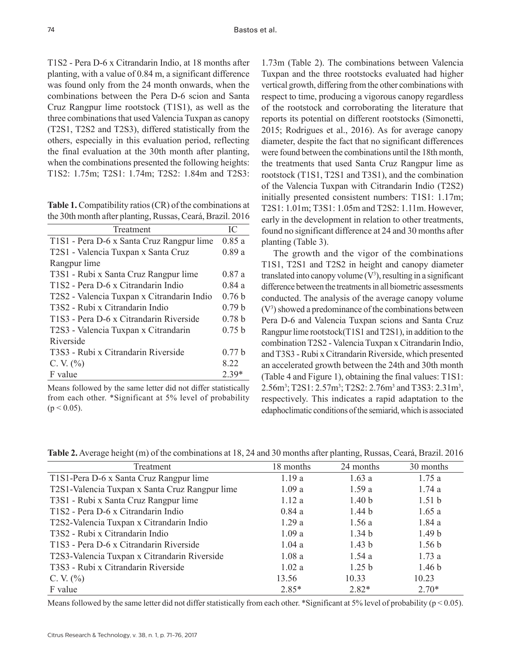T1S2 - Pera D-6 x Citrandarin Indio, at 18 months after planting, with a value of 0.84 m, a significant difference was found only from the 24 month onwards, when the combinations between the Pera D-6 scion and Santa Cruz Rangpur lime rootstock (T1S1), as well as the three combinations that used Valencia Tuxpan as canopy (T2S1, T2S2 and T2S3), differed statistically from the others, especially in this evaluation period, reflecting the final evaluation at the 30th month after planting, when the combinations presented the following heights: T1S2: 1.75m; T2S1: 1.74m; T2S2: 1.84m and T2S3:

**Table 1.** Compatibility ratios (CR) of the combinations at the 30th month after planting, Russas, Ceará, Brazil. 2016

| Treatment                                  |                   |  |
|--------------------------------------------|-------------------|--|
| T1S1 - Pera D-6 x Santa Cruz Rangpur lime  | 0.85a             |  |
| T2S1 - Valencia Tuxpan x Santa Cruz        | 0.89a             |  |
| Rangpur lime                               |                   |  |
| T3S1 - Rubi x Santa Cruz Rangpur lime      | 0.87a             |  |
| T1S2 - Pera D-6 x Citrandarin Indio        | 0.84a             |  |
| T2S2 - Valencia Tuxpan x Citrandarin Indio | 0.76 <sub>b</sub> |  |
| T3S2 - Rubi x Citrandarin Indio            | 0.79 <sub>b</sub> |  |
| T1S3 - Pera D-6 x Citrandarin Riverside    | 0.78 <sub>b</sub> |  |
| T2S3 - Valencia Tuxpan x Citrandarin       | 0.75 b            |  |
| Riverside                                  |                   |  |
| T3S3 - Rubi x Citrandarin Riverside        | 0.77h             |  |
| C. V. $(\% )$                              | 8.22              |  |
| F value                                    | $2.39*$           |  |

Means followed by the same letter did not differ statistically from each other. \*Significant at 5% level of probability  $(p < 0.05)$ .

1.73m (Table 2). The combinations between Valencia Tuxpan and the three rootstocks evaluated had higher vertical growth, differing from the other combinations with respect to time, producing a vigorous canopy regardless of the rootstock and corroborating the literature that reports its potential on different rootstocks (Simonetti, 2015; Rodrigues et al., 2016). As for average canopy diameter, despite the fact that no significant differences were found between the combinations until the 18th month, the treatments that used Santa Cruz Rangpur lime as rootstock (T1S1, T2S1 and T3S1), and the combination of the Valencia Tuxpan with Citrandarin Indio (T2S2) initially presented consistent numbers: T1S1: 1.17m; T2S1: 1.01m; T3S1: 1.05m and T2S2: 1.11m. However, early in the development in relation to other treatments, found no significant difference at 24 and 30 months after planting (Table 3).

The growth and the vigor of the combinations T1S1, T2S1 and T2S2 in height and canopy diameter translated into canopy volume  $(V^3)$ , resulting in a significant difference between the treatments in all biometric assessments conducted. The analysis of the average canopy volume  $(V<sup>3</sup>)$  showed a predominance of the combinations between Pera D-6 and Valencia Tuxpan scions and Santa Cruz Rangpur lime rootstock(T1S1 and T2S1), in addition to the combination T2S2 - Valencia Tuxpan x Citrandarin Indio, and T3S3 - Rubi x Citrandarin Riverside, which presented an accelerated growth between the 24th and 30th month (Table 4 and Figure 1), obtaining the final values: T1S1:  $2.56m^3$ ; T2S1:  $2.57m^3$ ; T2S2:  $2.76m^3$  and T3S3:  $2.31m^3$ , respectively. This indicates a rapid adaptation to the edaphoclimatic conditions of the semiarid, which is associated

**Table 2.** Average height (m) of the combinations at 18, 24 and 30 months after planting, Russas, Ceará, Brazil. 2016

| Treatment                                      | 18 months | 24 months         | 30 months         |
|------------------------------------------------|-----------|-------------------|-------------------|
| T1S1-Pera D-6 x Santa Cruz Rangpur lime        | 1.19a     | 1.63a             | 1.75a             |
| T2S1-Valencia Tuxpan x Santa Cruz Rangpur lime | 1.09a     | 1.59a             | 1.74a             |
| T3S1 - Rubi x Santa Cruz Rangpur lime          | 1.12a     | 1.40 <sub>b</sub> | 1.51 <sub>b</sub> |
| T1S2 - Pera D-6 x Citrandarin Indio            | 0.84a     | 1.44 <sub>b</sub> | 1.65a             |
| T2S2-Valencia Tuxpan x Citrandarin Indio       | 1.29a     | 1.56a             | 1.84a             |
| T3S2 - Rubi x Citrandarin Indio                | 1.09a     | 1.34 <sub>b</sub> | 1.49 <sub>b</sub> |
| T1S3 - Pera D-6 x Citrandarin Riverside        | 1.04a     | 1.43 <sub>b</sub> | 1.56 <sub>b</sub> |
| T2S3-Valencia Tuxpan x Citrandarin Riverside   | 1.08a     | 1.54a             | 1.73a             |
| T3S3 - Rubi x Citrandarin Riverside            | 1.02a     | 1.25 <sub>b</sub> | 1.46 <sub>b</sub> |
| C. V. $(\% )$                                  | 13.56     | 10.33             | 10.23             |
| F value                                        | $2.85*$   | $2.82*$           | $2.70*$           |

Means followed by the same letter did not differ statistically from each other. \*Significant at 5% level of probability ( $p < 0.05$ ).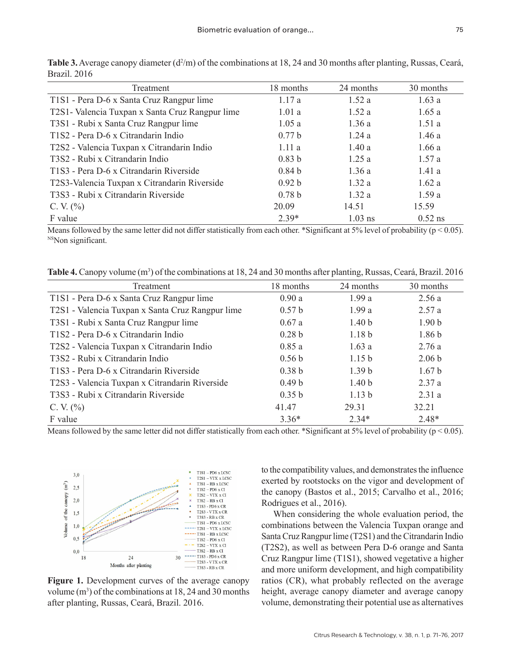| Treatment                                       | 18 months         | 24 months | 30 months |
|-------------------------------------------------|-------------------|-----------|-----------|
| T1S1 - Pera D-6 x Santa Cruz Rangpur lime       | 1.17a             | 1.52a     | 1.63a     |
| T2S1- Valencia Tuxpan x Santa Cruz Rangpur lime | 1.01a             | 1.52a     | 1.65a     |
| T3S1 - Rubi x Santa Cruz Rangpur lime           | 1.05a             | 1.36a     | 1.51a     |
| T1S2 - Pera D-6 x Citrandarin Indio             | 0.77 b            | 1.24a     | 1.46a     |
| T2S2 - Valencia Tuxpan x Citrandarin Indio      | 1.11a             | 1.40a     | 1.66a     |
| T3S2 - Rubi x Citrandarin Indio                 | 0.83 <sub>b</sub> | 1.25a     | 1.57a     |
| T1S3 - Pera D-6 x Citrandarin Riverside         | 0.84 <sub>b</sub> | 1.36a     | 1.41a     |
| T2S3-Valencia Tuxpan x Citrandarin Riverside    | 0.92 <sub>b</sub> | 1.32a     | 1.62a     |
| T3S3 - Rubi x Citrandarin Riverside             | 0.78 <sub>b</sub> | 1.32a     | 1.59a     |
| C. V. $(\% )$                                   | 20.09             | 14.51     | 15.59     |
| F value                                         | $2.39*$           | $1.03$ ns | $0.52$ ns |

Table 3. Average canopy diameter (d<sup>2</sup>/m) of the combinations at 18, 24 and 30 months after planting, Russas, Ceará, Brazil. 2016

Means followed by the same letter did not differ statistically from each other. \*Significant at 5% level of probability ( $p < 0.05$ ). <sup>NS</sup>Non significant.

Table 4. Canopy volume (m<sup>3</sup>) of the combinations at 18, 24 and 30 months after planting, Russas, Ceará, Brazil. 2016

| Treatment                                        | 18 months         | 24 months         | 30 months         |
|--------------------------------------------------|-------------------|-------------------|-------------------|
| T1S1 - Pera D-6 x Santa Cruz Rangpur lime        | 0.90a             | 1.99a             | 2.56a             |
| T2S1 - Valencia Tuxpan x Santa Cruz Rangpur lime | 0.57 <sub>b</sub> | 1.99a             | 2.57a             |
| T3S1 - Rubi x Santa Cruz Rangpur lime            | 0.67a             | 1.40 <sub>b</sub> | 1.90 <sub>b</sub> |
| T1S2 - Pera D-6 x Citrandarin Indio              | 0.28 <sub>b</sub> | 1.18 <sub>b</sub> | 1.86 <sub>b</sub> |
| T2S2 - Valencia Tuxpan x Citrandarin Indio       | 0.85a             | 1.63a             | 2.76a             |
| T3S2 - Rubi x Citrandarin Indio                  | 0.56 <sub>b</sub> | 1.15 <sub>b</sub> | 2.06 <sub>b</sub> |
| T1S3 - Pera D-6 x Citrandarin Riverside          | 0.38 <sub>b</sub> | 1.39 <sub>b</sub> | 1.67 <sub>b</sub> |
| T2S3 - Valencia Tuxpan x Citrandarin Riverside   | 0.49 <sub>b</sub> | 1.40 <sub>b</sub> | 2.37a             |
| T3S3 - Rubi x Citrandarin Riverside              | 0.35 b            | 1.13 <sub>b</sub> | 2.31a             |
| C. V. $(\% )$                                    | 41.47             | 29.31             | 32.21             |
| F value                                          | $3.36*$           | $2.34*$           | $2.48*$           |

Means followed by the same letter did not differ statistically from each other. \*Significant at 5% level of probability ( $p < 0.05$ ).



**Figure 1.** Development curves of the average canopy volume  $(m^3)$  of the combinations at 18, 24 and 30 months after planting, Russas, Ceará, Brazil. 2016.

to the compatibility values, and demonstrates the influence exerted by rootstocks on the vigor and development of the canopy (Bastos et al., 2015; Carvalho et al., 2016; Rodrigues et al., 2016).

When considering the whole evaluation period, the combinations between the Valencia Tuxpan orange and Santa Cruz Rangpur lime (T2S1) and the Citrandarin Indio (T2S2), as well as between Pera D-6 orange and Santa Cruz Rangpur lime (T1S1), showed vegetative a higher and more uniform development, and high compatibility ratios (CR), what probably reflected on the average height, average canopy diameter and average canopy volume, demonstrating their potential use as alternatives